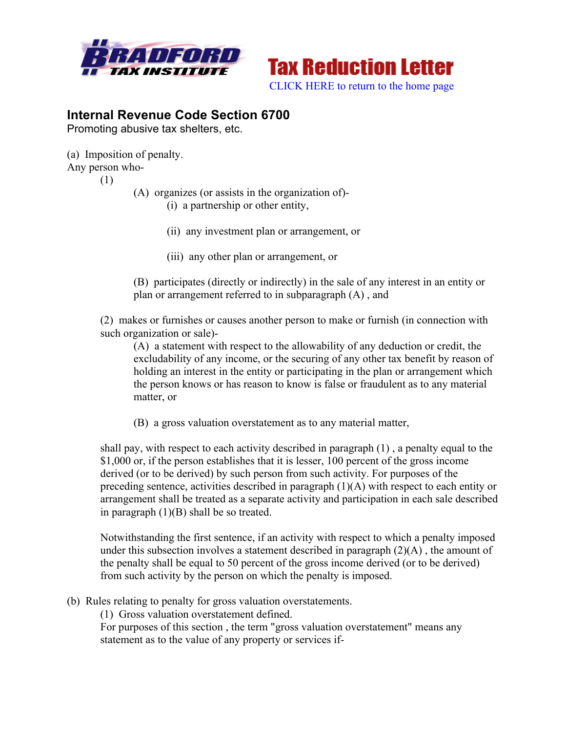



## **Internal Revenue Code Section 6700**

Promoting abusive tax shelters, etc.

(a) Imposition of penalty.

Any person who-

(1)

(A) organizes (or assists in the organization of)-

(i) a partnership or other entity,

- (ii) any investment plan or arrangement, or
- (iii) any other plan or arrangement, or

(B) participates (directly or indirectly) in the sale of any interest in an entity or plan or arrangement referred to in subparagraph (A) , and

(2) makes or furnishes or causes another person to make or furnish (in connection with such organization or sale)-

(A) a statement with respect to the allowability of any deduction or credit, the excludability of any income, or the securing of any other tax benefit by reason of holding an interest in the entity or participating in the plan or arrangement which the person knows or has reason to know is false or fraudulent as to any material matter, or

(B) a gross valuation overstatement as to any material matter,

shall pay, with respect to each activity described in paragraph (1) , a penalty equal to the \$1,000 or, if the person establishes that it is lesser, 100 percent of the gross income derived (or to be derived) by such person from such activity. For purposes of the preceding sentence, activities described in paragraph (1)(A) with respect to each entity or arrangement shall be treated as a separate activity and participation in each sale described in paragraph (1)(B) shall be so treated.

Notwithstanding the first sentence, if an activity with respect to which a penalty imposed under this subsection involves a statement described in paragraph  $(2)(A)$ , the amount of the penalty shall be equal to 50 percent of the gross income derived (or to be derived) from such activity by the person on which the penalty is imposed.

- (b) Rules relating to penalty for gross valuation overstatements.
	- (1) Gross valuation overstatement defined.

For purposes of this section , the term "gross valuation overstatement" means any statement as to the value of any property or services if